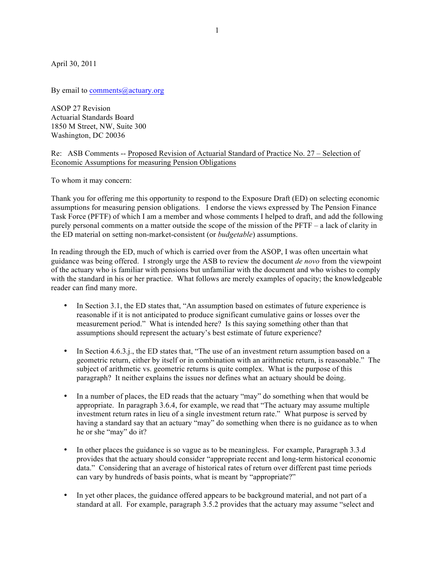April 30, 2011

By email to comments@actuary.org

ASOP 27 Revision Actuarial Standards Board 1850 M Street, NW, Suite 300 Washington, DC 20036

## Re: ASB Comments -- Proposed Revision of Actuarial Standard of Practice No. 27 – Selection of Economic Assumptions for measuring Pension Obligations

To whom it may concern:

Thank you for offering me this opportunity to respond to the Exposure Draft (ED) on selecting economic assumptions for measuring pension obligations. I endorse the views expressed by The Pension Finance Task Force (PFTF) of which I am a member and whose comments I helped to draft, and add the following purely personal comments on a matter outside the scope of the mission of the PFTF – a lack of clarity in the ED material on setting non-market-consistent (or *budgetable*) assumptions.

In reading through the ED, much of which is carried over from the ASOP, I was often uncertain what guidance was being offered. I strongly urge the ASB to review the document *de novo* from the viewpoint of the actuary who is familiar with pensions but unfamiliar with the document and who wishes to comply with the standard in his or her practice. What follows are merely examples of opacity; the knowledgeable reader can find many more.

- In Section 3.1, the ED states that, "An assumption based on estimates of future experience is reasonable if it is not anticipated to produce significant cumulative gains or losses over the measurement period." What is intended here? Is this saying something other than that assumptions should represent the actuary's best estimate of future experience?
- In Section 4.6.3.j., the ED states that, "The use of an investment return assumption based on a geometric return, either by itself or in combination with an arithmetic return, is reasonable." The subject of arithmetic vs. geometric returns is quite complex. What is the purpose of this paragraph? It neither explains the issues nor defines what an actuary should be doing.
- In a number of places, the ED reads that the actuary "may" do something when that would be appropriate. In paragraph 3.6.4, for example, we read that "The actuary may assume multiple investment return rates in lieu of a single investment return rate." What purpose is served by having a standard say that an actuary "may" do something when there is no guidance as to when he or she "may" do it?
- In other places the guidance is so vague as to be meaningless. For example, Paragraph 3.3.d provides that the actuary should consider "appropriate recent and long-term historical economic data." Considering that an average of historical rates of return over different past time periods can vary by hundreds of basis points, what is meant by "appropriate?"
- In yet other places, the guidance offered appears to be background material, and not part of a standard at all. For example, paragraph 3.5.2 provides that the actuary may assume "select and